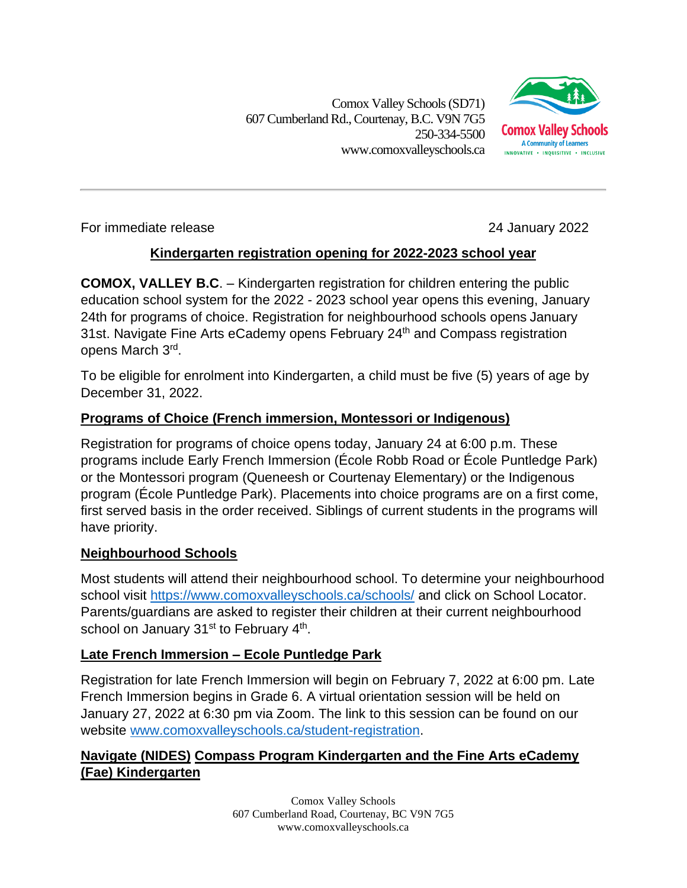Comox Valley Schools (SD71) 607 Cumberland Rd.,Courtenay, B.C. V9N 7G5 250-334-5500 www.comoxvalleyschools.ca



For immediate release 24 January 2022

# **Kindergarten registration opening for 2022-2023 school year**

**COMOX, VALLEY B.C**. – Kindergarten registration for children entering the public education school system for the 2022 - 2023 school year opens this evening, January 24th for programs of choice. Registration for neighbourhood schools opens January 31st. Navigate Fine Arts eCademy opens February 24<sup>th</sup> and Compass registration opens March 3<sup>rd</sup>.

To be eligible for enrolment into Kindergarten, a child must be five (5) years of age by December 31, 2022.

## **Programs of Choice (French immersion, Montessori or Indigenous)**

Registration for programs of choice opens today, January 24 at 6:00 p.m. These programs include Early French Immersion (École Robb Road or École Puntledge Park) or the Montessori program (Queneesh or Courtenay Elementary) or the Indigenous program (École Puntledge Park). Placements into choice programs are on a first come, first served basis in the order received. Siblings of current students in the programs will have priority.

### **Neighbourhood Schools**

Most students will attend their neighbourhood school. To determine your neighbourhood school visit<https://www.comoxvalleyschools.ca/schools/> and click on School Locator. Parents/guardians are asked to register their children at their current neighbourhood school on January 31<sup>st</sup> to February 4<sup>th</sup>.

### **Late French Immersion – Ecole Puntledge Park**

Registration for late French Immersion will begin on February 7, 2022 at 6:00 pm. Late French Immersion begins in Grade 6. A virtual orientation session will be held on January 27, 2022 at 6:30 pm via Zoom. The link to this session can be found on our website [www.comoxvalleyschools.ca/student-registration.](http://www.comoxvalleyschools.ca/student-registration)

### **Navigate (NIDES) Compass Program Kindergarten and the Fine Arts eCademy (Fae) Kindergarten**